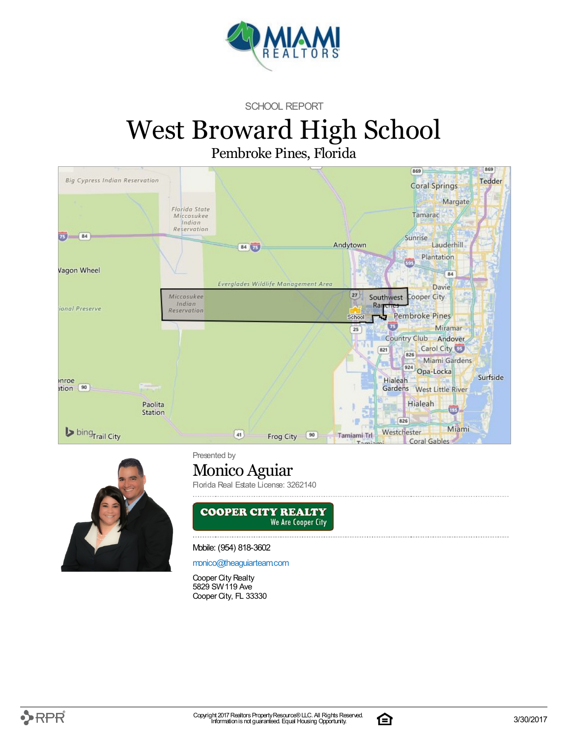

SCHOOL REPORT

# West Broward High School

Pembroke Pines, Florida





Presented by

### Monico Aguiar

Florida Real Estate License: 3262140



Mobile: (954) 818-3602

[monico@theaguiarteam.com](mailto:monico@theaguiarteam.com)

Cooper City Realty 5829 SW119 Ave Cooper City, FL 33330

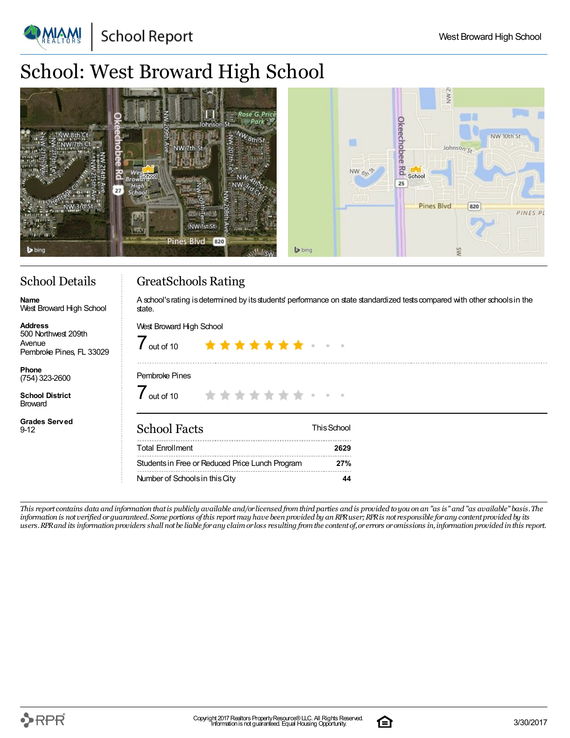**School Report** 

## School: West Broward High School

| Rose G.<br>Johnson<br>mms<br>$\frac{5}{4}$<br><b>Mr. 10</b><br>Schoo<br>NW 1st St<br>ਕਲ<br>Pines Blvd 820<br>$\mathbf b$ bing | NW <sub>2</sub><br>ă<br>NW 10th St<br>一<br>hobee<br>Johnson <sub>St</sub><br>$\frac{1}{2}$ school<br>$NW_{6N}$<br>25<br><b>Pines Blvd</b><br>[820]<br>PINES PL<br>$\blacktriangleright$ bing |
|-------------------------------------------------------------------------------------------------------------------------------|----------------------------------------------------------------------------------------------------------------------------------------------------------------------------------------------|
|-------------------------------------------------------------------------------------------------------------------------------|----------------------------------------------------------------------------------------------------------------------------------------------------------------------------------------------|

### School Details

West Broward High School

**Name**

**Address**

Avenue

**Phone** (754) 323-2600 **School District Broward** 

9-12

**Grades Served**

### GreatSchools Rating

A school's rating is determined by its students' performance on state standardized tests compared with other schools in the state.

#### West Broward High School 500 Northwest 209th  $7$  out of 10 \*\*\*\*\*\*\* Pembroke Pines, FL 33029 Pembroke Pines  $\int$  out of 10 \*\*\*\*\*\*\*\* School Facts ThisSchool Total Enrollment **2629**

Studentsin Free or Reduced Price Lunch Program **27%** Number of Schoolsin thisCity **44**

This report contains data and information that is publicly available and/or licensed from third parties and is provided to you on an "as is" and "as available" basis. The information is not verified or guaranteed. Some portions of this report may have been provided by an RPR user; RPR is not responsible for any content provided by its users. RPR and its information providers shall not be liable for any claim or loss resulting from the content of, or errors or omissions in, information provided in this report.

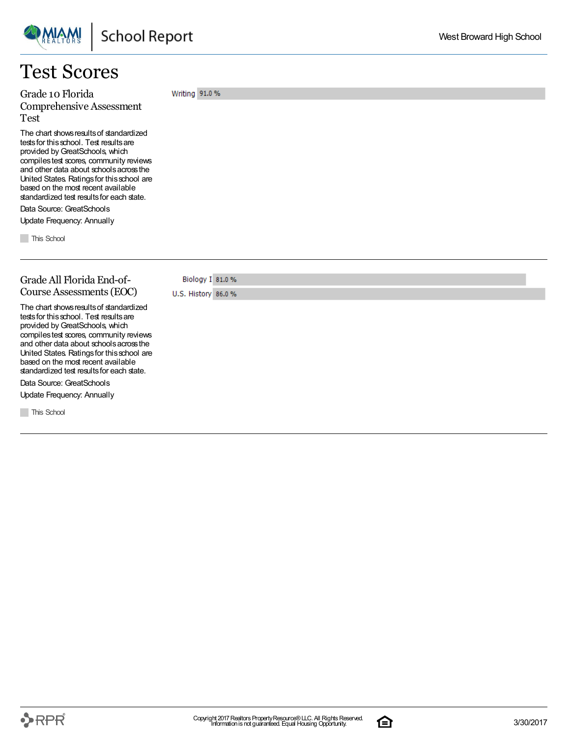### Test Scores

Grade 10 Florida Comprehensive Assessment Test

The chart shows results of standardized tests for this school. Test results are provided by GreatSchools, which compilestest scores, community reviews and other data about schoolsacrossthe United States. Ratingsfor thisschool are based on the most recent available standardized test results for each state.

Data Source: GreatSchools Update Frequency: Annually

**This School** 

#### Grade All Florida End-of-Course Assessments(EOC)

Biology I 81.0 % U.S. History 86.0 %

Writing 91.0 %

The chart shows results of standardized tests for this school. Test results are provided byGreatSchools, which compilestest scores, community reviews and other data about schoolsacrossthe United States. Ratingsfor thisschool are based on the most recent available standardized test results for each state.

Data Source: GreatSchools Update Frequency: Annually

**This School** 

 $\rightarrow$ RPR $\overline{\phantom{a}}$ 

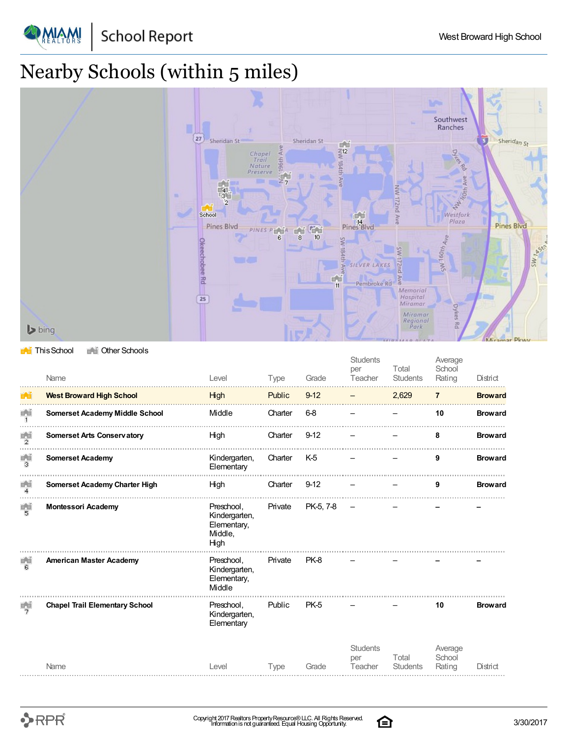

# Nearby Schools (within 5 miles)



#### **This School** The Other Schools

|                       | Name                                  | Level                                                         | Type    | Grade          | <b>Students</b><br>per<br>Teacher | Total<br><b>Students</b> | Average<br>School<br>Rating | District       |
|-----------------------|---------------------------------------|---------------------------------------------------------------|---------|----------------|-----------------------------------|--------------------------|-----------------------------|----------------|
| $\mathbb{R}^n$        | <b>West Broward High School</b>       | High                                                          | Public  | $9 - 12$       |                                   | 2,629                    | $\overline{7}$              | <b>Broward</b> |
| 首首<br>$\mathbf{1}$    | <b>Somerset Academy Middle School</b> | Middle                                                        | Charter | 6-8            |                                   |                          | 10                          | <b>Broward</b> |
| 首首<br>$\overline{2}$  | <b>Somerset Arts Conservatory</b>     | High                                                          | Charter | $9 - 12$       |                                   |                          | 8                           | <b>Broward</b> |
| 重道<br>з               | <b>Somerset Academy</b>               | Kindergarten,<br>Elementary                                   | Charter | K <sub>5</sub> |                                   |                          | 9                           | <b>Broward</b> |
| 首首<br>$\overline{4}$  | <b>Somerset Academy Charter High</b>  | High                                                          | Charter | $9 - 12$       |                                   |                          | 9                           | <b>Broward</b> |
| 重道<br>5               | <b>Montessori Academy</b>             | Preschool.<br>Kindergarten,<br>Elementary,<br>Middle,<br>High | Private | PK-5, 7-8      |                                   |                          |                             |                |
| 田田<br>в               | <b>American Master Academy</b>        | Preschool,<br>Kindergarten,<br>Elementary,<br>Middle          | Private | PK-8           |                                   |                          |                             |                |
| 三、田<br>$\overline{z}$ | <b>Chapel Trail Elementary School</b> | Preschool.<br>Kindergarten,<br>Elementary                     | Public  | PK-5           |                                   |                          | 10                          | <b>Broward</b> |
|                       | Name                                  | Level                                                         | Type    | Grade          | <b>Students</b><br>per<br>Teacher | Total<br><b>Students</b> | Average<br>School<br>Rating | District       |